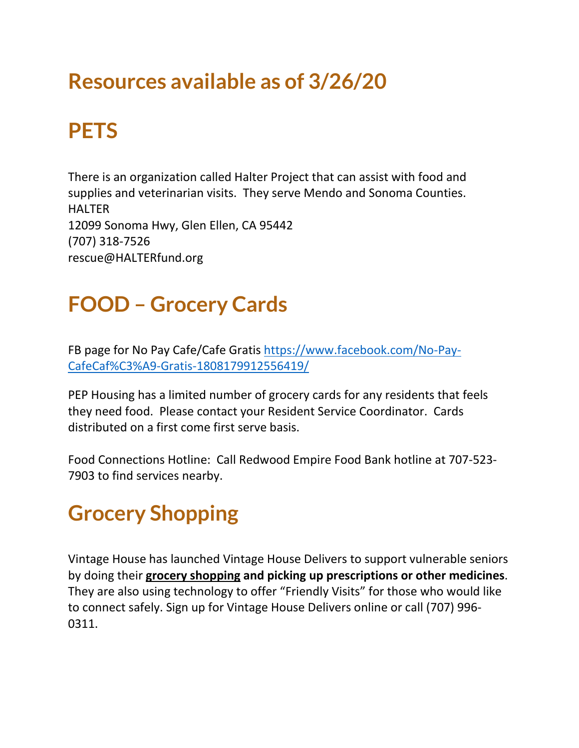# **Resources available as of 3/26/20**

## **PETS**

There is an organization called Halter Project that can assist with food and supplies and veterinarian visits. They serve Mendo and Sonoma Counties. HALTER 12099 Sonoma Hwy, Glen Ellen, CA 95442 (707) 318-7526 rescue@HALTERfund.org

### **FOOD – Grocery Cards**

FB page for No Pay Cafe/Cafe Gratis [https://www.facebook.com/No-Pay-](https://www.facebook.com/No-Pay-CafeCaf%C3%A9-Gratis-1808179912556419/)[CafeCaf%C3%A9-Gratis-1808179912556419/](https://www.facebook.com/No-Pay-CafeCaf%C3%A9-Gratis-1808179912556419/)

PEP Housing has a limited number of grocery cards for any residents that feels they need food. Please contact your Resident Service Coordinator. Cards distributed on a first come first serve basis.

Food Connections Hotline: Call Redwood Empire Food Bank hotline at 707-523- 7903 to find services nearby.

### **Grocery Shopping**

Vintage House has launched Vintage House Delivers to support vulnerable seniors by doing their **grocery shopping and picking up prescriptions or other medicines**. They are also using technology to offer "Friendly Visits" for those who would like to connect safely. Sign up for Vintage House Delivers online or call (707) 996- 0311.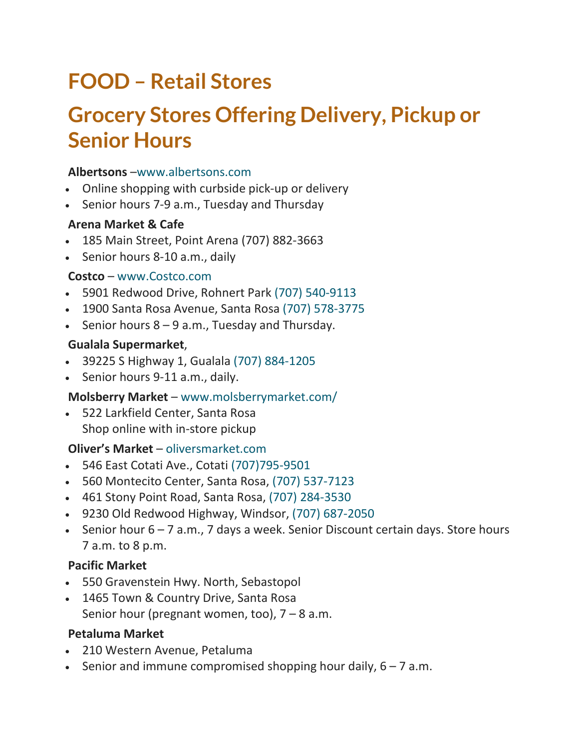# **FOOD – Retail Stores**

# **Grocery Stores Offering Delivery, Pickup or Senior Hours**

#### **Albertsons** [–www.albertsons.com](http://www.albertsons.com/)

- Online shopping with curbside pick-up or delivery
- Senior hours 7-9 a.m., Tuesday and Thursday

#### **Arena Market & Cafe**

- 185 Main Street, Point Arena (707) 882-3663
- Senior hours 8-10 a.m., daily

#### **Costco** – [www.Costco.com](http://www.costco.com/)

- 5901 Redwood Drive, Rohnert Park (707) [540-9113](tel:+17075409113)
- 1900 Santa Rosa Avenue, Santa Rosa (707) [578-3775](tel:+17075783775)
- Senior hours  $8 9$  a.m., Tuesday and Thursday.

#### **Gualala Supermarket**,

- 39225 S Highway 1, Gualala (707) [884-1205](tel:+17078841205)
- Senior hours 9-11 a.m., daily.

### **Molsberry Market** – [www.molsberrymarket.com/](https://www.molsberrymarket.com/)

• 522 Larkfield Center, Santa Rosa Shop online with in-store pickup

#### **Oliver's Market** – [oliversmarket.com](http://www.oliversmarket.com/)

- 546 East Cotati Ave., Cotati [\(707\)795-9501](tel:+17077959501)
- 560 Montecito Center, Santa Rosa, (707) [537-7123](tel:+17075377123)
- 461 Stony Point Road, Santa Rosa, (707) [284-3530](tel:+17072843530)
- 9230 Old Redwood Highway, Windsor, (707) [687-2050](tel:+17076872050)
- Senior hour 6 7 a.m., 7 days a week. Senior Discount certain days. Store hours 7 a.m. to 8 p.m.

### **Pacific Market**

- 550 Gravenstein Hwy. North, Sebastopol
- 1465 Town & Country Drive, Santa Rosa Senior hour (pregnant women, too),  $7 - 8$  a.m.

#### **Petaluma Market**

- 210 Western Avenue, Petaluma
- Senior and immune compromised shopping hour daily,  $6 7$  a.m.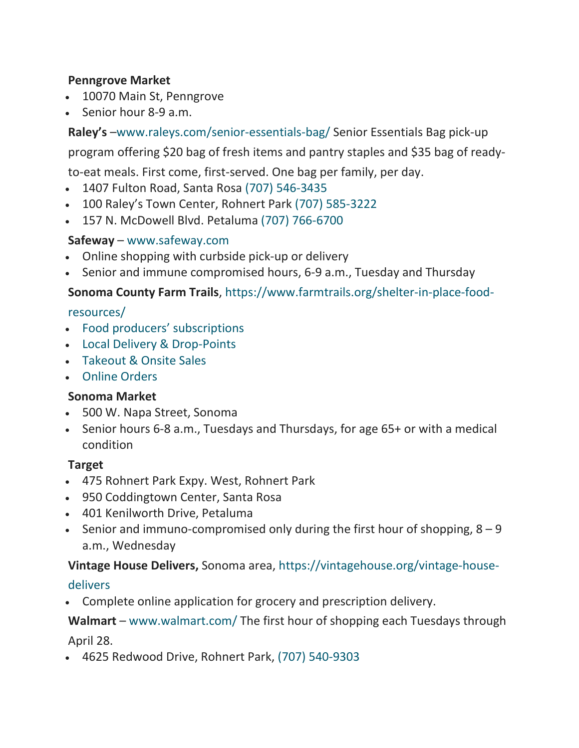#### **Penngrove Market**

- 10070 Main St, Penngrove
- Senior hour 8-9 a.m.

**Raley's** [–www.raleys.com/senior-essentials-bag/](https://www.raleys.com/senior-essentials-bag/) Senior Essentials Bag pick-up

program offering \$20 bag of fresh items and pantry staples and \$35 bag of ready-

to-eat meals. First come, first-served. One bag per family, per day.

- 1407 Fulton Road, Santa Rosa (707) [546-3435](tel:+17075463435)
- 100 Raley's Town Center, Rohnert Park (707) [585-3222](tel:+7075853222)
- 157 N. McDowell Blvd. Petaluma (707) [766-6700](tel:+7077666700)

#### **Safeway** – [www.safeway.com](http://www.safeway.com/)

- Online shopping with curbside pick-up or delivery
- Senior and immune compromised hours, 6-9 a.m., Tuesday and Thursday

#### **Sonoma County Farm Trails**, [https://www.farmtrails.org/shelter-in-place-food-](https://www.farmtrails.org/shelter-in-place-food-resources/)

#### [resources/](https://www.farmtrails.org/shelter-in-place-food-resources/)

- Food producers' [subscriptions](https://www.farmtrails.org/shelter-in-place-food-resources/csa-sign-ups/)
- Local Delivery & [Drop-Points](https://www.farmtrails.org/shelter-in-place-food-resources/local-delivery-drop-points/)
- [Takeout](https://www.farmtrails.org/shelter-in-place-food-resources/take-out-orders/) & Onsite Sales
- Online [Orders](https://www.farmtrails.org/shelter-in-place-food-resources/online-orders/)

#### **Sonoma Market**

- 500 W. Napa Street, Sonoma
- Senior hours 6-8 a.m., Tuesdays and Thursdays, for age 65+ or with a medical condition

#### **Target**

- 475 Rohnert Park Expy. West, Rohnert Park
- 950 Coddingtown Center, Santa Rosa
- 401 Kenilworth Drive, Petaluma
- Senior and immuno-compromised only during the first hour of shopping,  $8 9$ a.m., Wednesday

#### **Vintage House Delivers,** Sonoma area, [https://vintagehouse.org/vintage-house-](https://vintagehouse.org/vintage-house-delivers)

#### [delivers](https://vintagehouse.org/vintage-house-delivers)

• Complete online application for grocery and prescription delivery.

### **Walmart** – [www.walmart.com/](https://www.walmart.com/) The first hour of shopping each Tuesdays through April 28.

• 4625 Redwood Drive, Rohnert Park, (707) [540-9303](tel:+17075409303)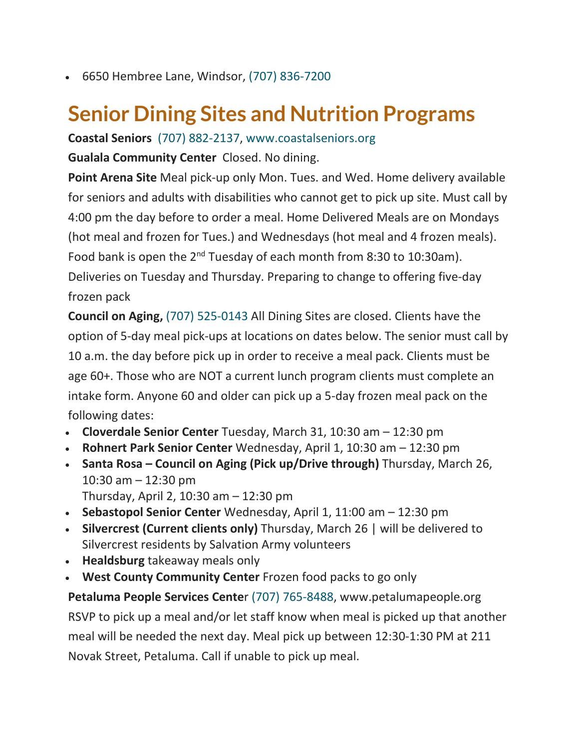• 6650 Hembree Lane, Windsor, (707) [836-7200](tel:+17078367200)

# **Senior Dining Sites and Nutrition Programs**

**Coastal Seniors** (707) [882-2137,](tel:+17078822137) [www.coastalseniors.org](https://www.coastalseniors.org/)

**Gualala Community Center** Closed. No dining.

**Point Arena Site** Meal pick-up only Mon. Tues. and Wed. Home delivery available for seniors and adults with disabilities who cannot get to pick up site. Must call by 4:00 pm the day before to order a meal. Home Delivered Meals are on Mondays (hot meal and frozen for Tues.) and Wednesdays (hot meal and 4 frozen meals). Food bank is open the 2<sup>nd</sup> Tuesday of each month from 8:30 to 10:30am). Deliveries on Tuesday and Thursday. Preparing to change to offering five-day frozen pack

**Council on Aging,** (707) [525-0143](tel:+17075250143) All Dining Sites are closed. Clients have the option of 5-day meal pick-ups at locations on dates below. The senior must call by 10 a.m. the day before pick up in order to receive a meal pack. Clients must be age 60+. Those who are NOT a current lunch program clients must complete an intake form. Anyone 60 and older can pick up a 5-day frozen meal pack on the following dates:

- **Cloverdale Senior Center** Tuesday, March 31, 10:30 am 12:30 pm
- **Rohnert Park Senior Center** Wednesday, April 1, 10:30 am 12:30 pm
- **Santa Rosa – Council on Aging (Pick up/Drive through)** Thursday, March 26, 10:30 am – 12:30 pm
	- Thursday, April 2, 10:30 am 12:30 pm
- **Sebastopol Senior Center** Wednesday, April 1, 11:00 am 12:30 pm
- **Silvercrest (Current clients only)** Thursday, March 26 | will be delivered to Silvercrest residents by Salvation Army volunteers
- **Healdsburg** takeaway meals only
- **West County Community Center** Frozen food packs to go only

**Petaluma People Services Cente**r (707) [765-8488,](tel:+17077658488) www.petalumapeople.org RSVP to pick up a meal and/or let staff know when meal is picked up that another meal will be needed the next day. Meal pick up between 12:30-1:30 PM at 211 Novak Street, Petaluma. Call if unable to pick up meal.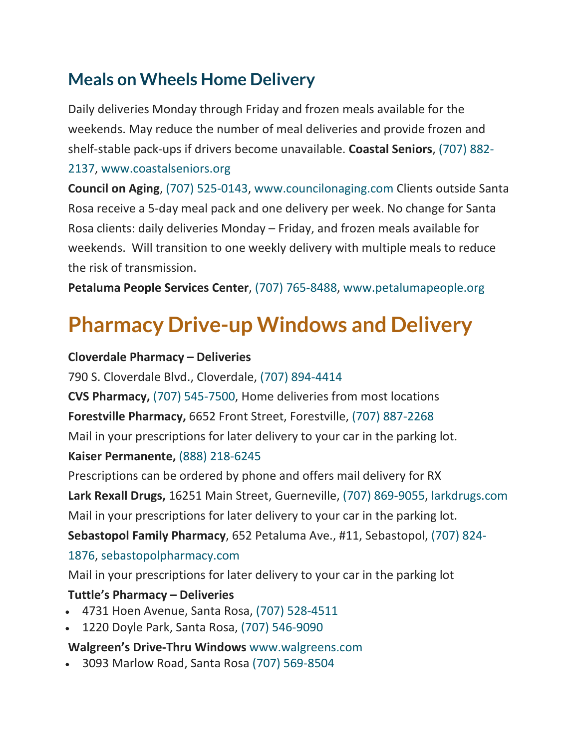### **Meals on Wheels Home Delivery**

Daily deliveries Monday through Friday and frozen meals available for the weekends. May reduce the number of meal deliveries and provide frozen and shelf-stable pack-ups if drivers become unavailable. **Coastal Seniors**, [\(707\)](tel:+17078822137) 882-

#### [2137,](tel:+17078822137) [www.coastalseniors.org](https://www.coastalseniors.org/)

**Council on Aging**, (707) [525-0143,](tel:+17075250143) [www.councilonaging.com](https://www.councilonaging.com/) Clients outside Santa Rosa receive a 5-day meal pack and one delivery per week. No change for Santa Rosa clients: daily deliveries Monday – Friday, and frozen meals available for weekends. Will transition to one weekly delivery with multiple meals to reduce the risk of transmission.

**Petaluma People Services Center**, (707) [765-8488,](tel:+17077658488) [www.petalumapeople.org](http://www.petalumapeople.org/)

# **Pharmacy Drive-up Windows and Delivery**

#### **Cloverdale Pharmacy – Deliveries**

790 S. Cloverdale Blvd., Cloverdale, (707) [894-4414](tel:+17078944414)

**CVS Pharmacy,** (707) [545-7500,](tel:+17075457500) Home deliveries from most locations

**Forestville Pharmacy,** 6652 Front Street, Forestville, (707) [887-2268](tel:+17078872268)

Mail in your prescriptions for later delivery to your car in the parking lot.

#### **Kaiser Permanente,** (888) [218-6245](tel:+18882186245)

Prescriptions can be ordered by phone and offers mail delivery for RX

**Lark Rexall Drugs,** 16251 Main Street, Guerneville, (707) [869-9055,](tel:7078699055) [larkdrugs.com](https://larkdrugs.com/)

Mail in your prescriptions for later delivery to your car in the parking lot.

**Sebastopol Family Pharmacy**, 652 Petaluma Ave., #11, Sebastopol, [\(707\)](tel:+17078241876) 824-

### [1876,](tel:+17078241876) [sebastopolpharmacy.com](https://sebastopolpharmacy.com/)

Mail in your prescriptions for later delivery to your car in the parking lot

### **Tuttle's Pharmacy – Deliveries**

- 4731 Hoen Avenue, Santa Rosa, (707) [528-4511](tel:+17075284511)
- 1220 Doyle Park, Santa Rosa, (707) [546-9090](tel:+17075469090)

### **Walgreen's Drive-Thru Windows** [www.walgreens.com](https://www.walgreens.com/)

• 3093 Marlow Road, Santa Rosa (707) [569-8504](tel:+17075698504)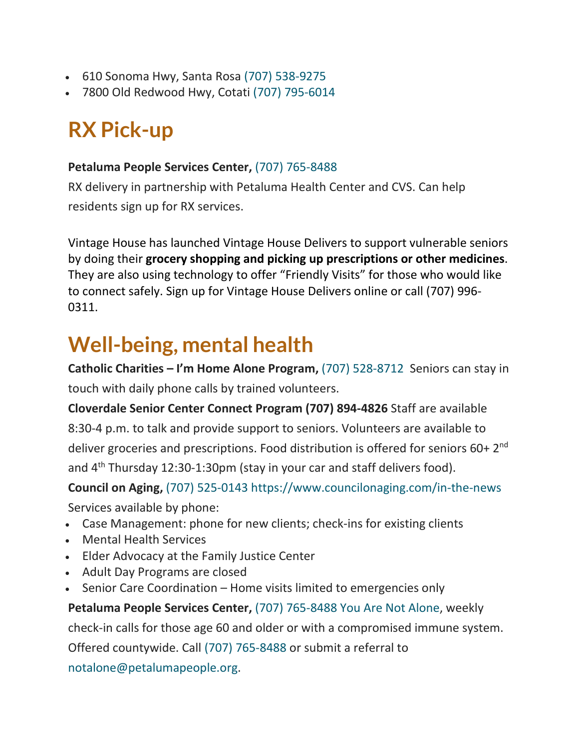- 610 Sonoma Hwy, Santa Rosa (707) [538-9275](tel:+17075389275)
- 7800 Old Redwood Hwy, Cotati (707) [795-6014](tel:+17077956014)

# **RX Pick-up**

#### **Petaluma People Services Center,** (707) [765-8488](tel:+17658488)

RX delivery in partnership with Petaluma Health Center and CVS. Can help residents sign up for RX services.

Vintage House has launched Vintage House Delivers to support vulnerable seniors by doing their **grocery shopping and picking up prescriptions or other medicines**. They are also using technology to offer "Friendly Visits" for those who would like to connect safely. Sign up for Vintage House Delivers online or call (707) 996- 0311.

# **Well-being, mental health**

**Catholic Charities – I'm Home Alone Program,** (707) [528-8712](tel:+17075288712) Seniors can stay in touch with daily phone calls by trained volunteers.

**Cloverdale Senior Center Connect Program (707) 894-4826** Staff are available 8:30-4 p.m. to talk and provide support to seniors. Volunteers are available to deliver groceries and prescriptions. Food distribution is offered for seniors 60+ 2<sup>nd</sup> and 4<sup>th</sup> Thursday 12:30-1:30pm (stay in your car and staff delivers food).

**Council on Aging,** (707) [525-0143](tel:+17075250143) <https://www.councilonaging.com/in-the-news> Services available by phone:

- Case Management: phone for new clients; check-ins for existing clients
- Mental Health Services
- Elder Advocacy at the Family Justice Center
- Adult Day Programs are closed
- Senior Care Coordination Home visits limited to emergencies only

**Petaluma People Services Center,** (707) [765-8488](tel:+17077658488) You Are Not [Alone,](http://petalumapeople.org/seniors/you-are-not-alone/) weekly check-in calls for those age 60 and older or with a compromised immune system. Offered countywide. Call (707) [765-8488](tel:+17077658488) or submit a referral to [notalone@petalumapeople.org.](mailto:notalone@petalumapeople.org)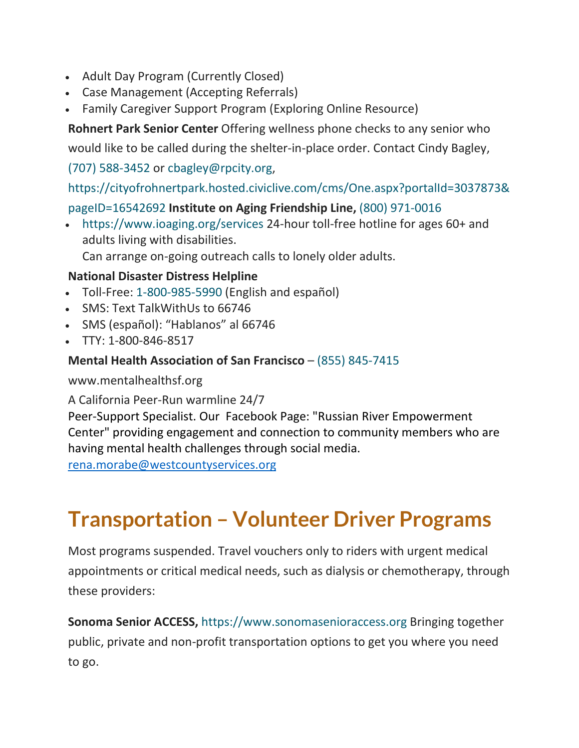- Adult Day Program (Currently Closed)
- Case Management (Accepting Referrals)
- Family Caregiver Support Program (Exploring Online Resource)

**Rohnert Park Senior Center** Offering wellness phone checks to any senior who

would like to be called during the shelter-in-place order. Contact Cindy Bagley,

(707) [588-3452](tel:+17075883452) or [cbagley@rpcity.org,](mailto:cbagley@rpcity.org)

[https://cityofrohnertpark.hosted.civiclive.com/cms/One.aspx?portalId=3037873&](https://cityofrohnertpark.hosted.civiclive.com/cms/One.aspx?portalId=3037873&pageID=16542692)

#### [pageID=16542692](https://cityofrohnertpark.hosted.civiclive.com/cms/One.aspx?portalId=3037873&pageID=16542692) **Institute on Aging Friendship Line,** (800) [971-0016](tel:+18009710016)

• <https://www.ioaging.org/services> 24-hour toll-free hotline for ages 60+ and adults living with disabilities.

Can arrange on-going outreach calls to lonely older adults.

#### **National Disaster Distress Helpline**

- Toll-Free: [1-800-985-5990](tel:+18009855990) (English and español)
- SMS: Text TalkWithUs to 66746
- SMS (español): "Hablanos" al 66746
- TTY: 1-800-846-8517

#### **Mental Health Association of San Francisco** – (855) [845-7415](tel:+18558457415)

www.mentalhealthsf.org

A California Peer-Run warmline 24/7

Peer-Support Specialist. Our Facebook Page: "Russian River Empowerment Center" providing engagement and connection to community members who are having mental health challenges through social media.

[rena.morabe@westcountyservices.org](mailto:rena.morabe@westcountyservices.org)

# **Transportation – Volunteer Driver Programs**

Most programs suspended. Travel vouchers only to riders with urgent medical appointments or critical medical needs, such as dialysis or chemotherapy, through these providers:

**Sonoma Senior ACCESS,** [https://www.sonomasenioraccess.org](https://www.sonomasenioraccess.org/) Bringing together public, private and non-profit transportation options to get you where you need to go.